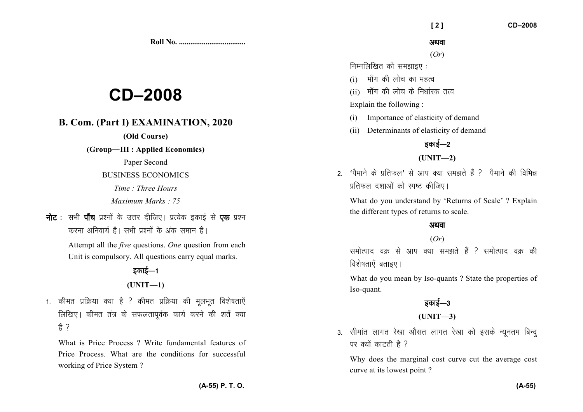**Roll No. ...................................** 

# **CD–2008**

## **B. Com. (Part I) EXAMINATION, 2020**

**(Old Course)** 

**(Group—III : Applied Economics)** 

Paper Second

BUSINESS ECONOMICS

*Time : Three Hours* 

*Maximum Marks : 75* 

**नोट** : सभी **पाँच** प्रश्नों के उत्तर दीजिए। प्रत्येक इकाई से **एक** प्रश्न करना अनिवार्य है। सभी पश्नों के अंक समान हैं।

> Attempt all the *five* questions. *One* question from each Unit is compulsory. All questions carry equal marks.

## डकाई—1

**(UNIT—1)** 

1. कीमत प्रक्रिया क्या है ? कीमत प्रक्रिया की मलभत विशेषताएँ लिखिए। कीमत तंत्र के सफलतापूर्वक कार्य करने की शर्तें क्या  $\frac{3}{5}$  ?

What is Price Process ? Write fundamental features of Price Process. What are the conditions for successful working of Price System ?

#### अथवा

(*Or*)

 $f$ निम्नलिखित को समझाइए $\,$ :

- $(i)$  माँग की लोच का महत्व
- $(i)$  माँग की लोच के निर्धारक तत्व

Explain the following :

- (i) Importance of elasticity of demand
- (ii) Determinants of elasticity of demand

## डकाई—2

#### **(UNIT—2)**

 $2-$  'पैमाने के प्रतिफल' से आप क्या समझते हैं ? पैमाने की विभिन्न प्रतिफल दशाओं को स्पष्ट कीजिए।

What do you understand by 'Returns of Scale' ? Explain the different types of returns to scale.

#### अथवा

#### (*Or*)

समोत्पाद वक से आप क्या समझते हैं ? समोत्पाद वक की विशेषताएँ बताइए।

What do you mean by Iso-quants ? State the properties of Iso-quant.

# डकाई—3

**(UNIT—3)** 

3. सीमांत लागत रेखा औसत लागत रेखा को इसके न्यूनतम बिन्द् पर क्यों काटती है ?

Why does the marginal cost curve cut the average cost curve at its lowest point ?